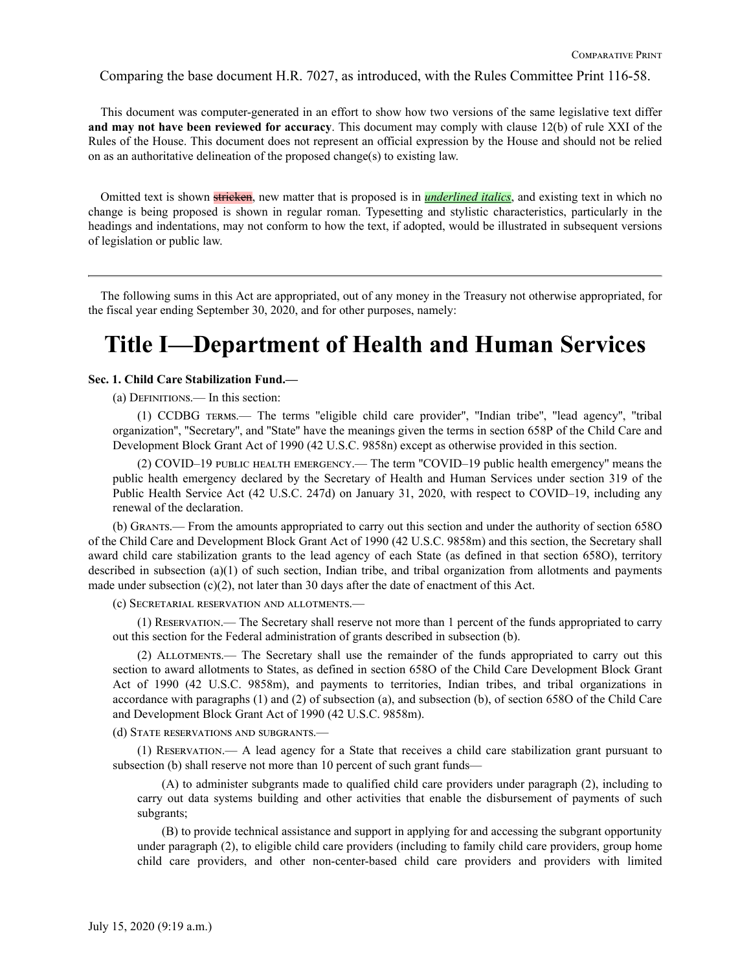Comparing the base document H.R. 7027, as introduced, with the Rules Committee Print 116-58.

This document was computer-generated in an effort to show how two versions of the same legislative text differ **and may not have been reviewed for accuracy**. This document may comply with clause 12(b) of rule XXI of the Rules of the House. This document does not represent an official expression by the House and should not be relied on as an authoritative delineation of the proposed change(s) to existing law.

Omitted text is shown stricken, new matter that is proposed is in *underlined italics*, and existing text in which no change is being proposed is shown in regular roman. Typesetting and stylistic characteristics, particularly in the headings and indentations, may not conform to how the text, if adopted, would be illustrated in subsequent versions of legislation or public law.

The following sums in this Act are appropriated, out of any money in the Treasury not otherwise appropriated, for the fiscal year ending September 30, 2020, and for other purposes, namely:

# **Title I—Department of Health and Human Services**

#### **Sec. 1. Child Care Stabilization Fund.—**

(a) Definitions.— In this section:

(1) CCDBG terms.— The terms ''eligible child care provider'', ''Indian tribe'', ''lead agency'', ''tribal organization'', ''Secretary'', and ''State'' have the meanings given the terms in section 658P of the Child Care and Development Block Grant Act of 1990 (42 U.S.C. 9858n) except as otherwise provided in this section.

(2) COVID–19 public health emergency.— The term ''COVID–19 public health emergency'' means the public health emergency declared by the Secretary of Health and Human Services under section 319 of the Public Health Service Act (42 U.S.C. 247d) on January 31, 2020, with respect to COVID–19, including any renewal of the declaration.

(b) Grants.— From the amounts appropriated to carry out this section and under the authority of section 658O of the Child Care and Development Block Grant Act of 1990 (42 U.S.C. 9858m) and this section, the Secretary shall award child care stabilization grants to the lead agency of each State (as defined in that section 658O), territory described in subsection (a)(1) of such section, Indian tribe, and tribal organization from allotments and payments made under subsection  $(c)(2)$ , not later than 30 days after the date of enactment of this Act.

(c) Secretarial reservation and allotments.—

(1) Reservation.— The Secretary shall reserve not more than 1 percent of the funds appropriated to carry out this section for the Federal administration of grants described in subsection (b).

(2) Allotments.— The Secretary shall use the remainder of the funds appropriated to carry out this section to award allotments to States, as defined in section 658O of the Child Care Development Block Grant Act of 1990 (42 U.S.C. 9858m), and payments to territories, Indian tribes, and tribal organizations in accordance with paragraphs (1) and (2) of subsection (a), and subsection (b), of section 658O of the Child Care and Development Block Grant Act of 1990 (42 U.S.C. 9858m).

(d) State reservations and subgrants.—

(1) Reservation.— A lead agency for a State that receives a child care stabilization grant pursuant to subsection (b) shall reserve not more than 10 percent of such grant funds—

(A) to administer subgrants made to qualified child care providers under paragraph (2), including to carry out data systems building and other activities that enable the disbursement of payments of such subgrants;

(B) to provide technical assistance and support in applying for and accessing the subgrant opportunity under paragraph (2), to eligible child care providers (including to family child care providers, group home child care providers, and other non-center-based child care providers and providers with limited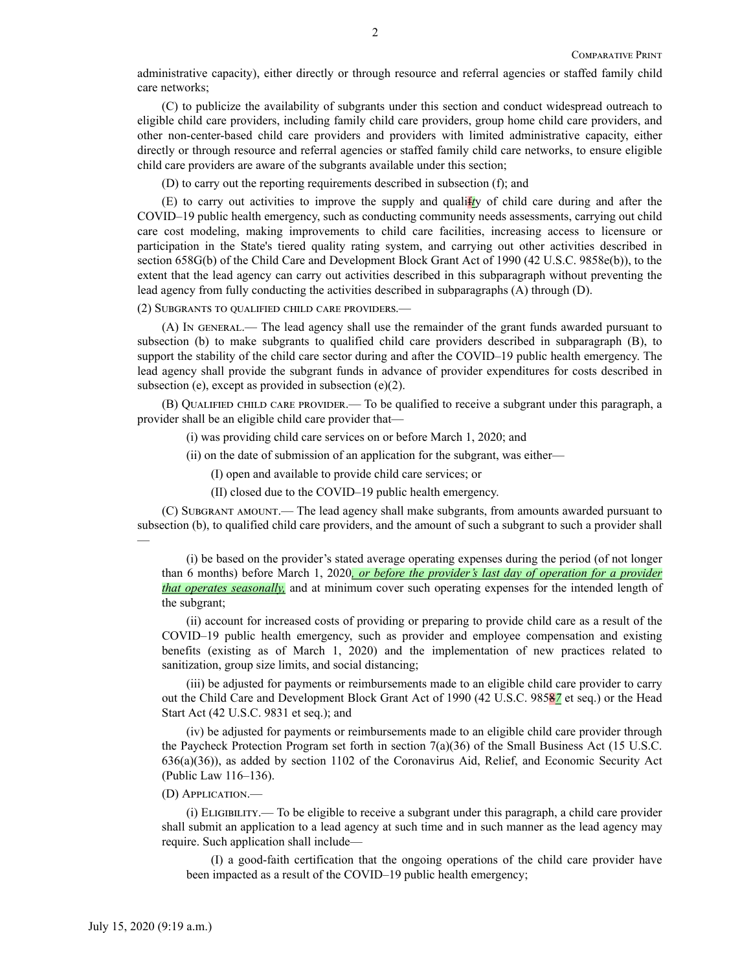administrative capacity), either directly or through resource and referral agencies or staffed family child care networks;

(C) to publicize the availability of subgrants under this section and conduct widespread outreach to eligible child care providers, including family child care providers, group home child care providers, and other non-center-based child care providers and providers with limited administrative capacity, either directly or through resource and referral agencies or staffed family child care networks, to ensure eligible child care providers are aware of the subgrants available under this section;

(D) to carry out the reporting requirements described in subsection (f); and

(E) to carry out activities to improve the supply and qualif*t*y of child care during and after the COVID–19 public health emergency, such as conducting community needs assessments, carrying out child care cost modeling, making improvements to child care facilities, increasing access to licensure or participation in the State's tiered quality rating system, and carrying out other activities described in section 658G(b) of the Child Care and Development Block Grant Act of 1990 (42 U.S.C. 9858e(b)), to the extent that the lead agency can carry out activities described in this subparagraph without preventing the lead agency from fully conducting the activities described in subparagraphs (A) through (D).

(2) Subgrants to qualified child care providers.—

(A) In general.— The lead agency shall use the remainder of the grant funds awarded pursuant to subsection (b) to make subgrants to qualified child care providers described in subparagraph (B), to support the stability of the child care sector during and after the COVID–19 public health emergency. The lead agency shall provide the subgrant funds in advance of provider expenditures for costs described in subsection (e), except as provided in subsection (e)(2).

(B) Qualified child care provider.— To be qualified to receive a subgrant under this paragraph, a provider shall be an eligible child care provider that—

(i) was providing child care services on or before March 1, 2020; and

(ii) on the date of submission of an application for the subgrant, was either—

(I) open and available to provide child care services; or

(II) closed due to the COVID–19 public health emergency.

(C) Subgrant amount.— The lead agency shall make subgrants, from amounts awarded pursuant to subsection (b), to qualified child care providers, and the amount of such a subgrant to such a provider shall —

(i) be based on the provider's stated average operating expenses during the period (of not longer than 6 months) before March 1, 2020*, or before the provider's last day of operation for a provider that operates seasonally,* and at minimum cover such operating expenses for the intended length of the subgrant;

(ii) account for increased costs of providing or preparing to provide child care as a result of the COVID–19 public health emergency, such as provider and employee compensation and existing benefits (existing as of March 1, 2020) and the implementation of new practices related to sanitization, group size limits, and social distancing;

(iii) be adjusted for payments or reimbursements made to an eligible child care provider to carry out the Child Care and Development Block Grant Act of 1990 (42 U.S.C. 9858*7* et seq.) or the Head Start Act (42 U.S.C. 9831 et seq.); and

(iv) be adjusted for payments or reimbursements made to an eligible child care provider through the Paycheck Protection Program set forth in section 7(a)(36) of the Small Business Act (15 U.S.C. 636(a)(36)), as added by section 1102 of the Coronavirus Aid, Relief, and Economic Security Act (Public Law 116–136).

#### (D) Application.—

(i) Eligibility.— To be eligible to receive a subgrant under this paragraph, a child care provider shall submit an application to a lead agency at such time and in such manner as the lead agency may require. Such application shall include—

(I) a good-faith certification that the ongoing operations of the child care provider have been impacted as a result of the COVID–19 public health emergency;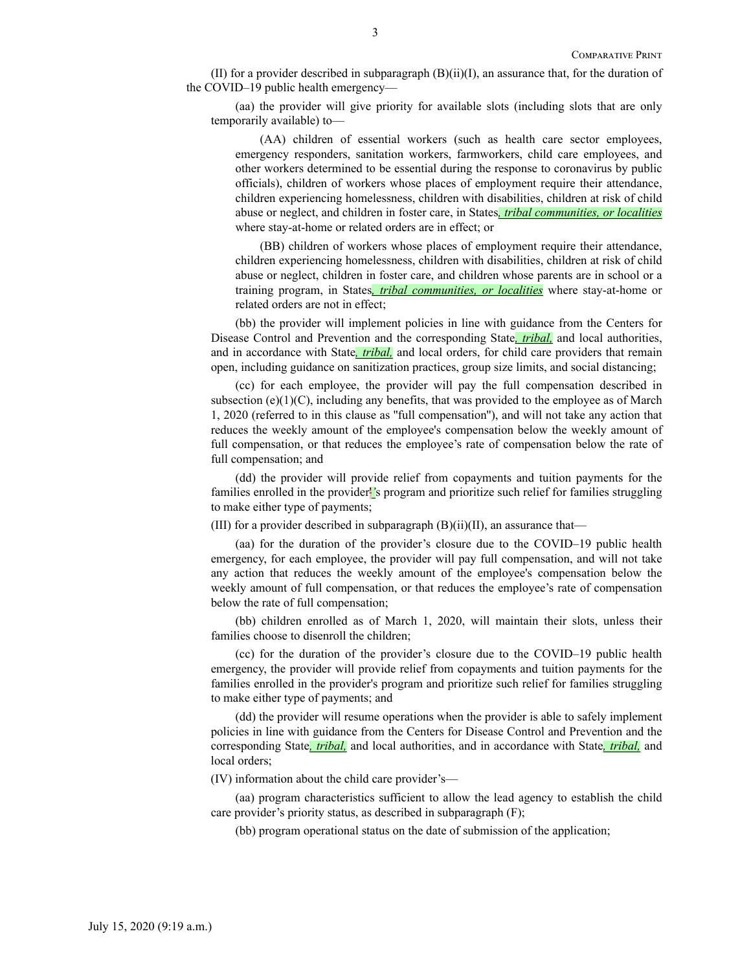(II) for a provider described in subparagraph  $(B)(ii)(I)$ , an assurance that, for the duration of the COVID–19 public health emergency—

(aa) the provider will give priority for available slots (including slots that are only temporarily available) to—

(AA) children of essential workers (such as health care sector employees, emergency responders, sanitation workers, farmworkers, child care employees, and other workers determined to be essential during the response to coronavirus by public officials), children of workers whose places of employment require their attendance, children experiencing homelessness, children with disabilities, children at risk of child abuse or neglect, and children in foster care, in States*, tribal communities, or localities* where stay-at-home or related orders are in effect; or

(BB) children of workers whose places of employment require their attendance, children experiencing homelessness, children with disabilities, children at risk of child abuse or neglect, children in foster care, and children whose parents are in school or a training program, in States*, tribal communities, or localities* where stay-at-home or related orders are not in effect;

(bb) the provider will implement policies in line with guidance from the Centers for Disease Control and Prevention and the corresponding State*, tribal,* and local authorities, and in accordance with State*, tribal,* and local orders, for child care providers that remain open, including guidance on sanitization practices, group size limits, and social distancing;

(cc) for each employee, the provider will pay the full compensation described in subsection (e) $(1)(C)$ , including any benefits, that was provided to the employee as of March 1, 2020 (referred to in this clause as ''full compensation''), and will not take any action that reduces the weekly amount of the employee's compensation below the weekly amount of full compensation, or that reduces the employee's rate of compensation below the rate of full compensation; and

(dd) the provider will provide relief from copayments and tuition payments for the families enrolled in the provider'*'*s program and prioritize such relief for families struggling to make either type of payments;

(III) for a provider described in subparagraph  $(B)(ii)(II)$ , an assurance that—

(aa) for the duration of the provider's closure due to the COVID–19 public health emergency, for each employee, the provider will pay full compensation, and will not take any action that reduces the weekly amount of the employee's compensation below the weekly amount of full compensation, or that reduces the employee's rate of compensation below the rate of full compensation;

(bb) children enrolled as of March 1, 2020, will maintain their slots, unless their families choose to disenroll the children;

(cc) for the duration of the provider's closure due to the COVID–19 public health emergency, the provider will provide relief from copayments and tuition payments for the families enrolled in the provider's program and prioritize such relief for families struggling to make either type of payments; and

(dd) the provider will resume operations when the provider is able to safely implement policies in line with guidance from the Centers for Disease Control and Prevention and the corresponding State*, tribal,* and local authorities, and in accordance with State*, tribal,* and local orders;

(IV) information about the child care provider's—

(aa) program characteristics sufficient to allow the lead agency to establish the child care provider's priority status, as described in subparagraph (F);

(bb) program operational status on the date of submission of the application;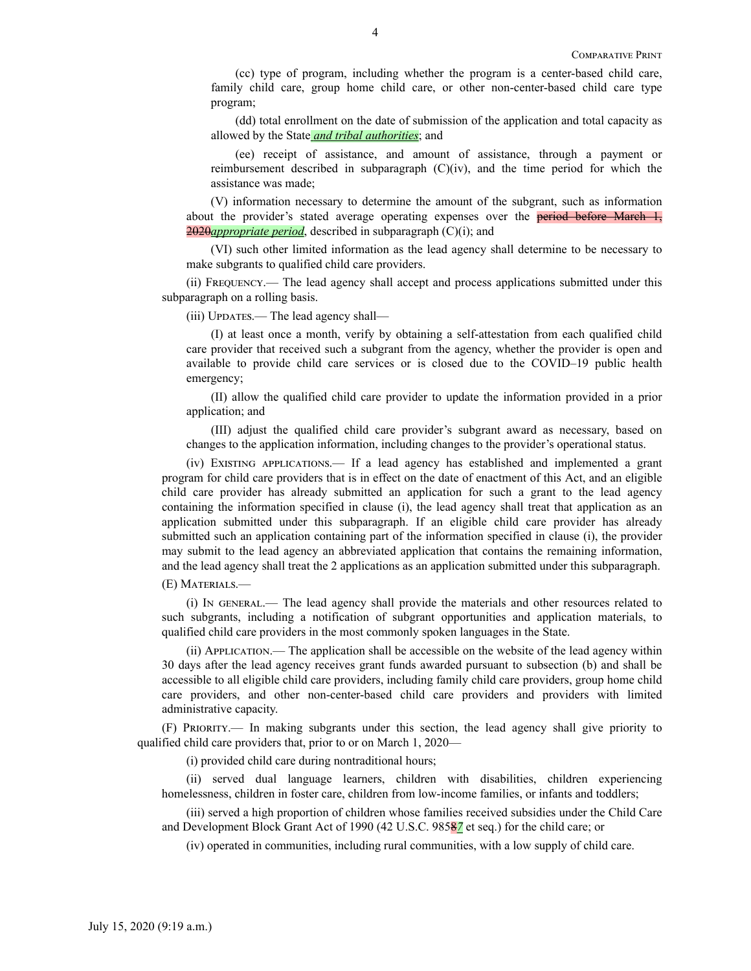(cc) type of program, including whether the program is a center-based child care, family child care, group home child care, or other non-center-based child care type program;

(dd) total enrollment on the date of submission of the application and total capacity as allowed by the State *and tribal authorities*; and

(ee) receipt of assistance, and amount of assistance, through a payment or reimbursement described in subparagraph (C)(iv), and the time period for which the assistance was made;

(V) information necessary to determine the amount of the subgrant, such as information about the provider's stated average operating expenses over the **period before March 1**, 2020*appropriate period*, described in subparagraph (C)(i); and

(VI) such other limited information as the lead agency shall determine to be necessary to make subgrants to qualified child care providers.

(ii) Frequency.— The lead agency shall accept and process applications submitted under this subparagraph on a rolling basis.

(iii) Updates.— The lead agency shall—

(I) at least once a month, verify by obtaining a self-attestation from each qualified child care provider that received such a subgrant from the agency, whether the provider is open and available to provide child care services or is closed due to the COVID–19 public health emergency;

(II) allow the qualified child care provider to update the information provided in a prior application; and

(III) adjust the qualified child care provider's subgrant award as necessary, based on changes to the application information, including changes to the provider's operational status.

(iv) Existing applications.— If a lead agency has established and implemented a grant program for child care providers that is in effect on the date of enactment of this Act, and an eligible child care provider has already submitted an application for such a grant to the lead agency containing the information specified in clause (i), the lead agency shall treat that application as an application submitted under this subparagraph. If an eligible child care provider has already submitted such an application containing part of the information specified in clause (i), the provider may submit to the lead agency an abbreviated application that contains the remaining information, and the lead agency shall treat the 2 applications as an application submitted under this subparagraph.

(E) Materials.—

(i) In general.— The lead agency shall provide the materials and other resources related to such subgrants, including a notification of subgrant opportunities and application materials, to qualified child care providers in the most commonly spoken languages in the State.

(ii) Application.— The application shall be accessible on the website of the lead agency within 30 days after the lead agency receives grant funds awarded pursuant to subsection (b) and shall be accessible to all eligible child care providers, including family child care providers, group home child care providers, and other non-center-based child care providers and providers with limited administrative capacity.

(F) Priority.— In making subgrants under this section, the lead agency shall give priority to qualified child care providers that, prior to or on March 1, 2020—

(i) provided child care during nontraditional hours;

(ii) served dual language learners, children with disabilities, children experiencing homelessness, children in foster care, children from low-income families, or infants and toddlers;

(iii) served a high proportion of children whose families received subsidies under the Child Care and Development Block Grant Act of 1990 (42 U.S.C. 9858*7* et seq.) for the child care; or

(iv) operated in communities, including rural communities, with a low supply of child care.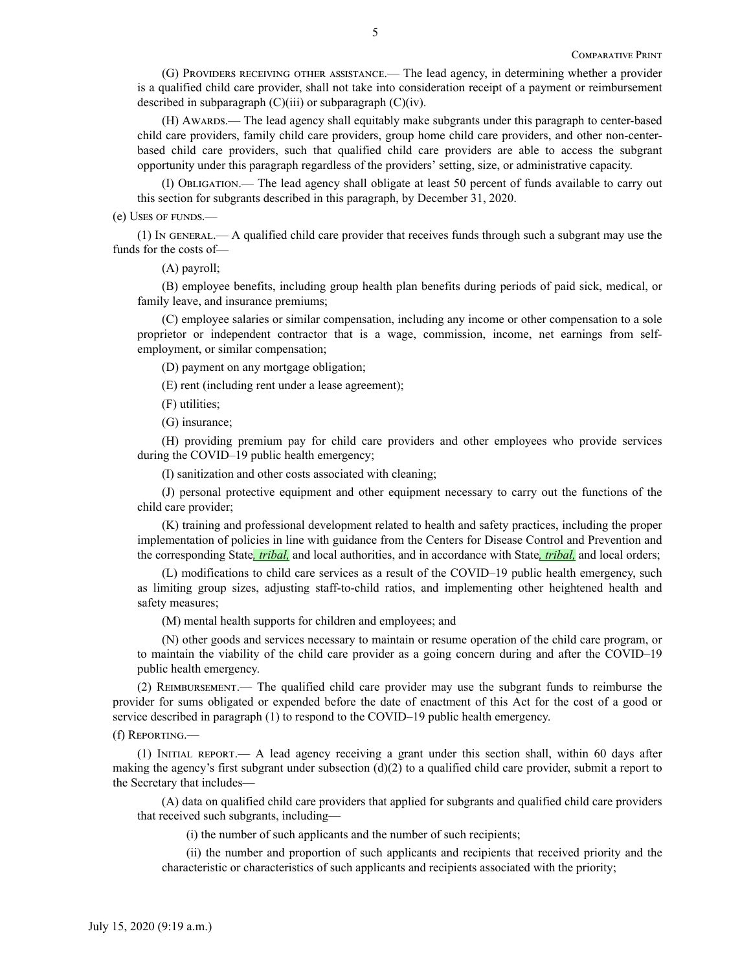(G) Providers receiving other assistance.— The lead agency, in determining whether a provider is a qualified child care provider, shall not take into consideration receipt of a payment or reimbursement described in subparagraph  $(C)(iii)$  or subparagraph  $(C)(iv)$ .

(H) Awards.— The lead agency shall equitably make subgrants under this paragraph to center-based child care providers, family child care providers, group home child care providers, and other non-centerbased child care providers, such that qualified child care providers are able to access the subgrant opportunity under this paragraph regardless of the providers' setting, size, or administrative capacity.

(I) Obligation.— The lead agency shall obligate at least 50 percent of funds available to carry out this section for subgrants described in this paragraph, by December 31, 2020.

(e) Uses of funds.—

(1) In general.— A qualified child care provider that receives funds through such a subgrant may use the funds for the costs of—

(A) payroll;

(B) employee benefits, including group health plan benefits during periods of paid sick, medical, or family leave, and insurance premiums;

(C) employee salaries or similar compensation, including any income or other compensation to a sole proprietor or independent contractor that is a wage, commission, income, net earnings from selfemployment, or similar compensation;

(D) payment on any mortgage obligation;

(E) rent (including rent under a lease agreement);

(F) utilities;

(G) insurance;

(H) providing premium pay for child care providers and other employees who provide services during the COVID–19 public health emergency;

(I) sanitization and other costs associated with cleaning;

(J) personal protective equipment and other equipment necessary to carry out the functions of the child care provider;

(K) training and professional development related to health and safety practices, including the proper implementation of policies in line with guidance from the Centers for Disease Control and Prevention and the corresponding State*, tribal,* and local authorities, and in accordance with State*, tribal,* and local orders;

(L) modifications to child care services as a result of the COVID–19 public health emergency, such as limiting group sizes, adjusting staff-to-child ratios, and implementing other heightened health and safety measures;

(M) mental health supports for children and employees; and

(N) other goods and services necessary to maintain or resume operation of the child care program, or to maintain the viability of the child care provider as a going concern during and after the COVID–19 public health emergency.

(2) Reimbursement.— The qualified child care provider may use the subgrant funds to reimburse the provider for sums obligated or expended before the date of enactment of this Act for the cost of a good or service described in paragraph (1) to respond to the COVID–19 public health emergency.

(f) Reporting.—

(1) Initial report.— A lead agency receiving a grant under this section shall, within 60 days after making the agency's first subgrant under subsection  $(d)(2)$  to a qualified child care provider, submit a report to the Secretary that includes—

(A) data on qualified child care providers that applied for subgrants and qualified child care providers that received such subgrants, including—

(i) the number of such applicants and the number of such recipients;

(ii) the number and proportion of such applicants and recipients that received priority and the characteristic or characteristics of such applicants and recipients associated with the priority;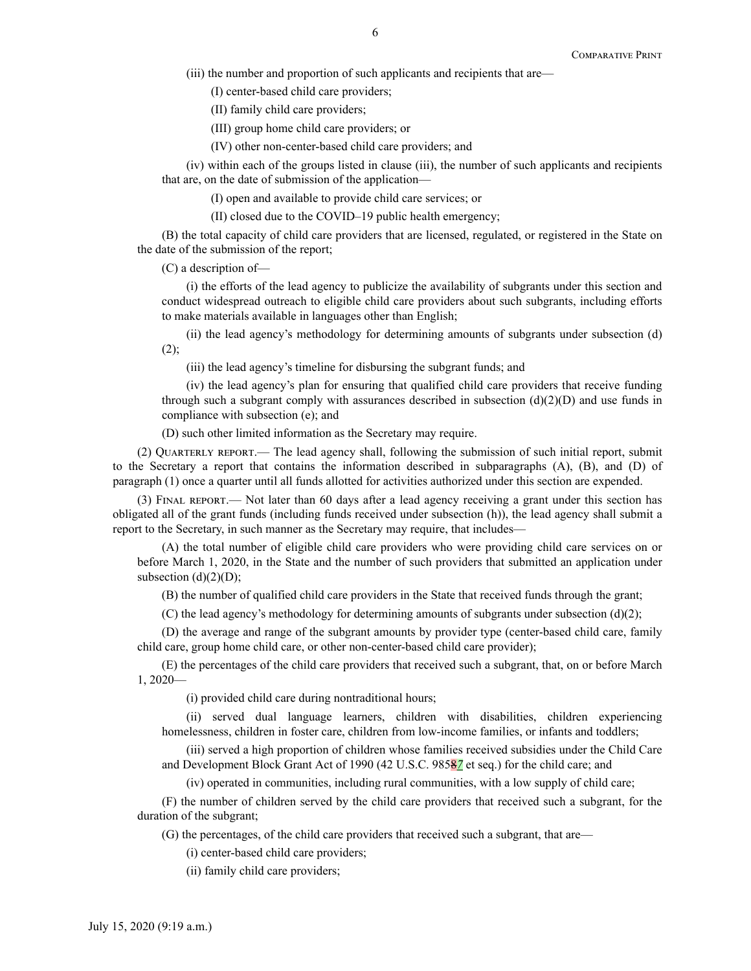(iii) the number and proportion of such applicants and recipients that are—

(I) center-based child care providers;

(II) family child care providers;

(III) group home child care providers; or

(IV) other non-center-based child care providers; and

(iv) within each of the groups listed in clause (iii), the number of such applicants and recipients that are, on the date of submission of the application—

(I) open and available to provide child care services; or

(II) closed due to the COVID–19 public health emergency;

(B) the total capacity of child care providers that are licensed, regulated, or registered in the State on the date of the submission of the report;

(C) a description of—

(i) the efforts of the lead agency to publicize the availability of subgrants under this section and conduct widespread outreach to eligible child care providers about such subgrants, including efforts to make materials available in languages other than English;

(ii) the lead agency's methodology for determining amounts of subgrants under subsection (d)  $(2)$ ;

(iii) the lead agency's timeline for disbursing the subgrant funds; and

(iv) the lead agency's plan for ensuring that qualified child care providers that receive funding through such a subgrant comply with assurances described in subsection  $(d)(2)(D)$  and use funds in compliance with subsection (e); and

(D) such other limited information as the Secretary may require.

(2) Quarterly report.— The lead agency shall, following the submission of such initial report, submit to the Secretary a report that contains the information described in subparagraphs (A), (B), and (D) of paragraph (1) once a quarter until all funds allotted for activities authorized under this section are expended.

(3) Final report.— Not later than 60 days after a lead agency receiving a grant under this section has obligated all of the grant funds (including funds received under subsection (h)), the lead agency shall submit a report to the Secretary, in such manner as the Secretary may require, that includes—

(A) the total number of eligible child care providers who were providing child care services on or before March 1, 2020, in the State and the number of such providers that submitted an application under subsection  $(d)(2)(D)$ ;

(B) the number of qualified child care providers in the State that received funds through the grant;

(C) the lead agency's methodology for determining amounts of subgrants under subsection  $(d)(2)$ ;

(D) the average and range of the subgrant amounts by provider type (center-based child care, family child care, group home child care, or other non-center-based child care provider);

(E) the percentages of the child care providers that received such a subgrant, that, on or before March 1, 2020—

(i) provided child care during nontraditional hours;

(ii) served dual language learners, children with disabilities, children experiencing homelessness, children in foster care, children from low-income families, or infants and toddlers;

(iii) served a high proportion of children whose families received subsidies under the Child Care and Development Block Grant Act of 1990 (42 U.S.C. 9858*7* et seq.) for the child care; and

(iv) operated in communities, including rural communities, with a low supply of child care;

(F) the number of children served by the child care providers that received such a subgrant, for the duration of the subgrant;

(G) the percentages, of the child care providers that received such a subgrant, that are—

(i) center-based child care providers;

(ii) family child care providers;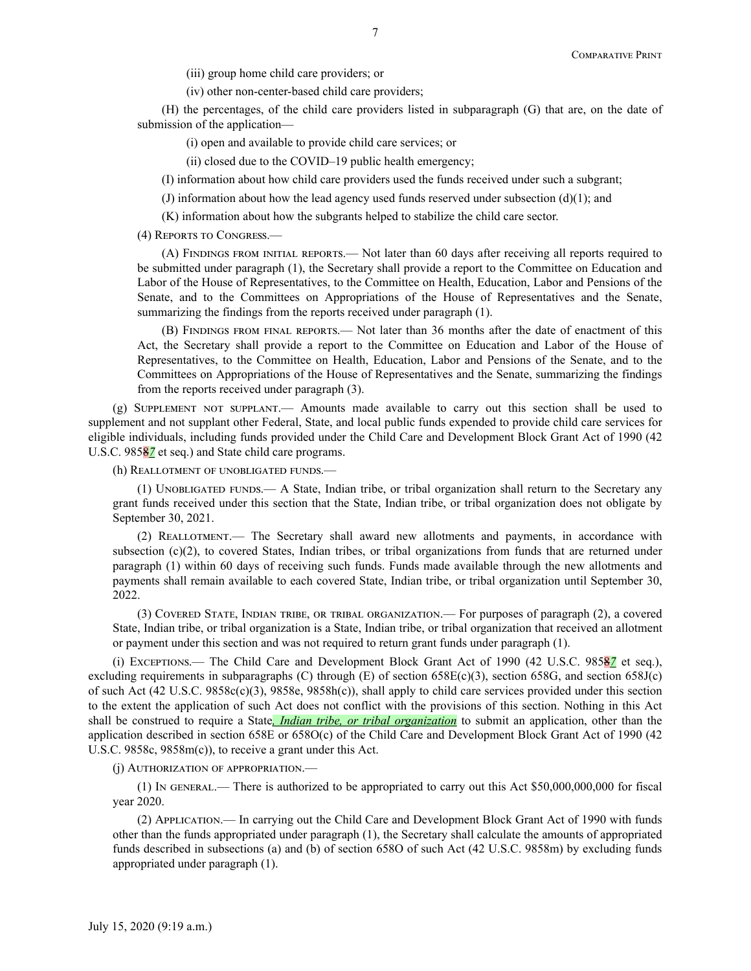(iii) group home child care providers; or

(iv) other non-center-based child care providers;

(H) the percentages, of the child care providers listed in subparagraph (G) that are, on the date of submission of the application—

(i) open and available to provide child care services; or

(ii) closed due to the COVID–19 public health emergency;

(I) information about how child care providers used the funds received under such a subgrant;

(J) information about how the lead agency used funds reserved under subsection  $(d)(1)$ ; and

(K) information about how the subgrants helped to stabilize the child care sector.

(4) Reports to Congress.—

(A) Findings from initial reports.— Not later than 60 days after receiving all reports required to be submitted under paragraph (1), the Secretary shall provide a report to the Committee on Education and Labor of the House of Representatives, to the Committee on Health, Education, Labor and Pensions of the Senate, and to the Committees on Appropriations of the House of Representatives and the Senate, summarizing the findings from the reports received under paragraph (1).

(B) Findings from final reports.— Not later than 36 months after the date of enactment of this Act, the Secretary shall provide a report to the Committee on Education and Labor of the House of Representatives, to the Committee on Health, Education, Labor and Pensions of the Senate, and to the Committees on Appropriations of the House of Representatives and the Senate, summarizing the findings from the reports received under paragraph (3).

(g) Supplement not supplant.— Amounts made available to carry out this section shall be used to supplement and not supplant other Federal, State, and local public funds expended to provide child care services for eligible individuals, including funds provided under the Child Care and Development Block Grant Act of 1990 (42 U.S.C. 9858*7* et seq.) and State child care programs.

(h) Reallotment of unobligated funds.—

(1) Unobligated funds.— A State, Indian tribe, or tribal organization shall return to the Secretary any grant funds received under this section that the State, Indian tribe, or tribal organization does not obligate by September 30, 2021.

(2) Reallotment.— The Secretary shall award new allotments and payments, in accordance with subsection (c)(2), to covered States, Indian tribes, or tribal organizations from funds that are returned under paragraph (1) within 60 days of receiving such funds. Funds made available through the new allotments and payments shall remain available to each covered State, Indian tribe, or tribal organization until September 30, 2022.

(3) Covered State, Indian tribe, or tribal organization.— For purposes of paragraph (2), a covered State, Indian tribe, or tribal organization is a State, Indian tribe, or tribal organization that received an allotment or payment under this section and was not required to return grant funds under paragraph (1).

(i) Exceptions.— The Child Care and Development Block Grant Act of 1990 (42 U.S.C. 9858*7* et seq.), excluding requirements in subparagraphs (C) through (E) of section 658E(c)(3), section 658G, and section 658J(c) of such Act (42 U.S.C. 9858c(c)(3), 9858e, 9858h(c)), shall apply to child care services provided under this section to the extent the application of such Act does not conflict with the provisions of this section. Nothing in this Act shall be construed to require a State*, Indian tribe, or tribal organization* to submit an application, other than the application described in section 658E or 658O(c) of the Child Care and Development Block Grant Act of 1990 (42 U.S.C. 9858c, 9858m(c)), to receive a grant under this Act.

(j) Authorization of appropriation.—

(1) In general.— There is authorized to be appropriated to carry out this Act \$50,000,000,000 for fiscal year 2020.

(2) Application.— In carrying out the Child Care and Development Block Grant Act of 1990 with funds other than the funds appropriated under paragraph (1), the Secretary shall calculate the amounts of appropriated funds described in subsections (a) and (b) of section 658O of such Act (42 U.S.C. 9858m) by excluding funds appropriated under paragraph (1).